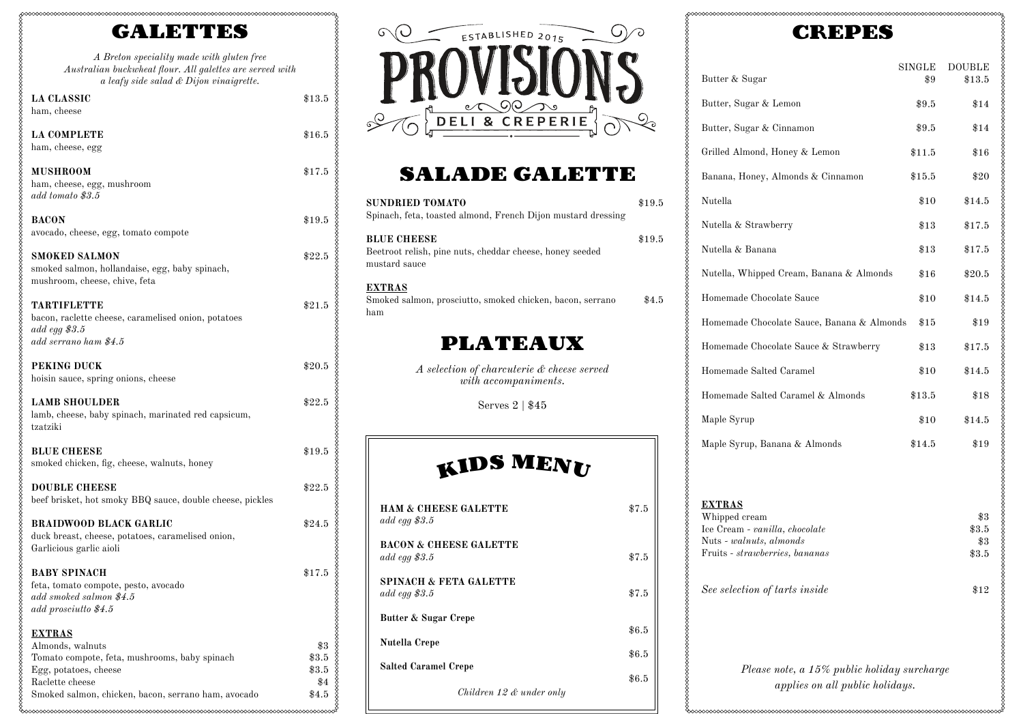## GALETTES

mmmmmmmmm

*A Breton speciality made with gluten free Australian buckwheat flour. All galettes are served with a leafy side salad & Dijon vinaigrette.*

\$13.5

\$16.5

\$17.5

\$19.5

\$22.5

\$21.5

\$20.5

\$22.5

\$19.5

\$22.5

\$24.5

\$17.5

\$3 \$3.5 \$3.5 \$4 \$4.5

ംഹഹപ്

| <b>LA CLASSIC</b>                                                                                            |
|--------------------------------------------------------------------------------------------------------------|
| ham, cheese                                                                                                  |
| <b>LA COMPLETE</b><br>ham, cheese, egg                                                                       |
| <b>MUSHROOM</b><br>ham, cheese, egg, mushroom<br>add tomato \$3.5                                            |
| <b>BACON</b><br>avocado, cheese, egg, tomato compote                                                         |
| SMOKED SALMON<br>smoked salmon, hollandaise, egg, baby spinach,<br>mushroom, cheese, chive, feta             |
| TARTIFLETTE<br>bacon, raclette cheese, caramelised onion, potatoes<br>add egg \$3.5<br>add serrano ham \$4.5 |
| <b>PEKING DUCK</b><br>hoisin sauce, spring onions, cheese                                                    |
| <b>LAMB SHOULDER</b><br>lamb, cheese, baby spinach, marinated red capsicum,<br>tzatziki                      |
| <b>BLUE CHEESE</b><br>smoked chicken, fig, cheese, walnuts, honey                                            |

**DOUBLE CHEESE** beef brisket, hot smoky BBQ sauce, double cheese, pickles

**BRAIDWOOD BLACK GARLIC** duck breast, cheese, potatoes, caramelised onion, Garlicious garlic aioli

| <b>BABY SPINACH</b>                  |  |
|--------------------------------------|--|
| feta, tomato compote, pesto, avocado |  |
| add smoked salmon \$4.5              |  |
| add prosciutto \$4.5                 |  |

### **EXTRAS** Almonds, walnuts Tomato compote, feta, mushrooms, baby spinach Egg, potatoes, cheese Raclette cheese Smoked salmon, chicken, bacon, serrano ham, avocado



## SALADE GALETTE

| <b>SUNDRIED TOMATO</b><br>Spinach, feta, toasted almond, French Dijon mustard dressing          | \$19.5  |
|-------------------------------------------------------------------------------------------------|---------|
| <b>BLUE CHEESE</b><br>Beetroot relish, pine nuts, cheddar cheese, honey seeded<br>mustard sauce | \$19.5  |
| <u>EXTRAS</u><br>Smoked salmon, prosciutto, smoked chicken, bacon, serrano<br>ham               | $\$4.5$ |
| <b>PLATEAUX</b>                                                                                 |         |
| A selection of charcuterie & cheese served<br>with accompaniments.                              |         |
| Serves $2 \mid $45$                                                                             |         |
|                                                                                                 |         |
| KIDS MENU                                                                                       |         |
| <b>HAM &amp; CHEESE GALETTE</b><br>add egg $$3.5$                                               | \$7.5   |
| <b>BACON &amp; CHEESE GALETTE</b><br>add egg $$3.5$                                             | \$7.5   |
| <b>SPINACH &amp; FETA GALETTE</b><br>add egg $$3.5$                                             | \$7.5   |
| Butter & Sugar Crepe                                                                            | \$6.5   |
| Nutella Crepe                                                                                   | \$6.5   |
| <b>Salted Caramel Crepe</b>                                                                     | \$6.5   |
| Children 12 $\&$ under only                                                                     |         |

# CREPES

| Butter & Sugar                                            | SINGLE<br>\$9 | DOUBLE<br>\$13.5 |
|-----------------------------------------------------------|---------------|------------------|
| Butter, Sugar & Lemon                                     | $\$9.5$       | \$14             |
| Butter, Sugar & Cinnamon                                  | \$9.5         | \$14             |
| Grilled Almond, Honey & Lemon                             | \$11.5        | $\$16$           |
| Banana, Honey, Almonds & Cinnamon                         | \$15.5        | \$20             |
| Nutella                                                   | $\$10$        | \$14.5           |
| Nutella & Strawberry                                      | $\$13$        | $\$17.5$         |
| Nutella & Banana                                          | $\$13$        | $\$17.5$         |
| Nutella, Whipped Cream, Banana & Almonds                  | $\$16$        | \$20.5           |
| Homemade Chocolate Sauce                                  | \$10          | \$14.5           |
| Homemade Chocolate Sauce, Banana & Almonds                | $\$15$        | $\$19$           |
| Homemade Chocolate Sauce & Strawberry                     | $\$13$        | \$17.5           |
| Homemade Salted Caramel                                   | $\$10$        | \$14.5           |
| Homemade Salted Caramel & Almonds                         | \$13.5        | \$18             |
| Maple Syrup                                               | \$10          | \$14.5           |
| Maple Syrup, Banana & Almonds                             | \$14.5        | $\$19$           |
|                                                           |               |                  |
| <b>EXTRAS</b>                                             |               |                  |
| Whipped cream                                             |               | \$3              |
| Ice Cream - vanilla, chocolate                            |               | $\$3.5$          |
| Nuts - walnuts, almonds<br>Fruits - strawberries, bananas |               | \$3              |
|                                                           |               | $\$3.5$          |
| See selection of tarts inside                             |               | $\$12$           |
|                                                           |               |                  |
|                                                           |               |                  |
| Please note, a 15% public holiday surcharge               |               |                  |
| applies on all public holidays.                           |               |                  |
|                                                           |               |                  |